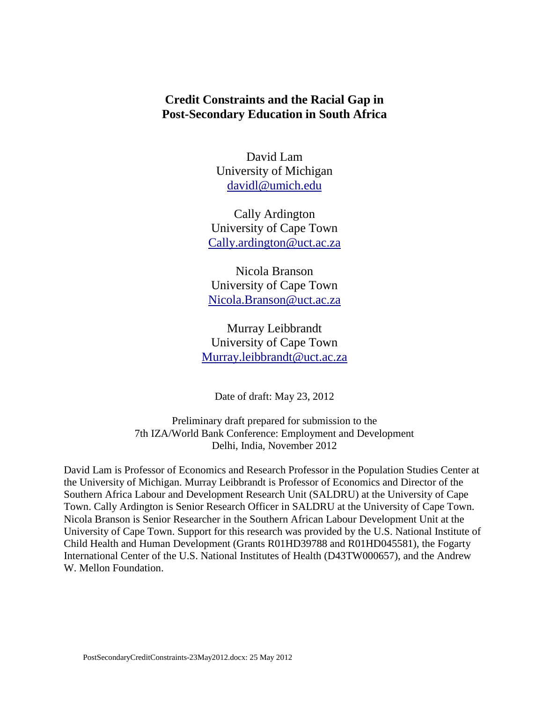## **Credit Constraints and the Racial Gap in Post-Secondary Education in South Africa**

David Lam University of Michigan [davidl@umich.edu](mailto:davidl@umich.edu)

Cally Ardington University of Cape Town [Cally.ardington@uct.ac.za](mailto:Cally.ardington@uct.ac.za)

Nicola Branson University of Cape Town [Nicola.Branson@uct.ac.za](mailto:Nicola.Branson@uct.ac.za)

Murray Leibbrandt University of Cape Town [Murray.leibbrandt@uct.ac.za](mailto:Murray.leibbrandt@uct.ac.za)

Date of draft: May 23, 2012

Preliminary draft prepared for submission to the 7th IZA/World Bank Conference: Employment and Development Delhi, India, November 2012

David Lam is Professor of Economics and Research Professor in the Population Studies Center at the University of Michigan. Murray Leibbrandt is Professor of Economics and Director of the Southern Africa Labour and Development Research Unit (SALDRU) at the University of Cape Town. Cally Ardington is Senior Research Officer in SALDRU at the University of Cape Town. Nicola Branson is Senior Researcher in the Southern African Labour Development Unit at the University of Cape Town. Support for this research was provided by the U.S. National Institute of Child Health and Human Development (Grants R01HD39788 and R01HD045581), the Fogarty International Center of the U.S. National Institutes of Health (D43TW000657), and the Andrew W. Mellon Foundation.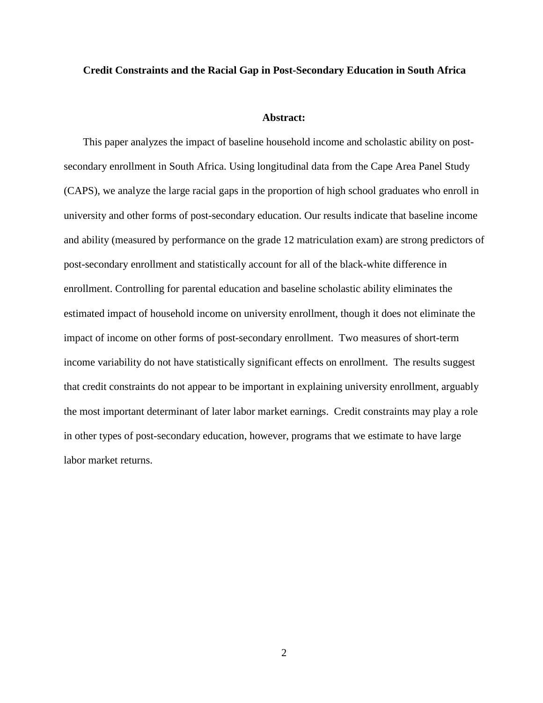#### **Credit Constraints and the Racial Gap in Post-Secondary Education in South Africa**

#### **Abstract:**

<span id="page-1-0"></span>This paper analyzes the impact of baseline household income and scholastic ability on postsecondary enrollment in South Africa. Using longitudinal data from the Cape Area Panel Study (CAPS), we analyze the large racial gaps in the proportion of high school graduates who enroll in university and other forms of post-secondary education. Our results indicate that baseline income and ability (measured by performance on the grade 12 matriculation exam) are strong predictors of post-secondary enrollment and statistically account for all of the black-white difference in enrollment. Controlling for parental education and baseline scholastic ability eliminates the estimated impact of household income on university enrollment, though it does not eliminate the impact of income on other forms of post-secondary enrollment. Two measures of short-term income variability do not have statistically significant effects on enrollment. The results suggest that credit constraints do not appear to be important in explaining university enrollment, arguably the most important determinant of later labor market earnings. Credit constraints may play a role in other types of post-secondary education, however, programs that we estimate to have large labor market returns.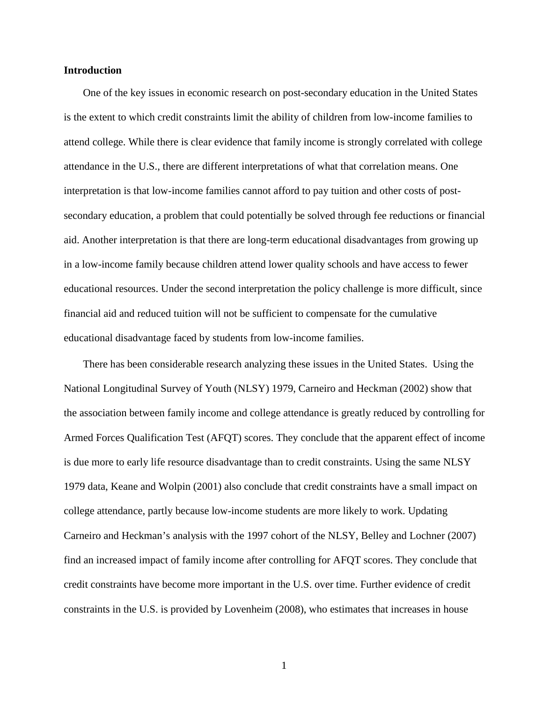## **Introduction**

One of the key issues in economic research on post-secondary education in the United States is the extent to which credit constraints limit the ability of children from low-income families to attend college. While there is clear evidence that family income is strongly correlated with college attendance in the U.S., there are different interpretations of what that correlation means. One interpretation is that low-income families cannot afford to pay tuition and other costs of postsecondary education, a problem that could potentially be solved through fee reductions or financial aid. Another interpretation is that there are long-term educational disadvantages from growing up in a low-income family because children attend lower quality schools and have access to fewer educational resources. Under the second interpretation the policy challenge is more difficult, since financial aid and reduced tuition will not be sufficient to compensate for the cumulative educational disadvantage faced by students from low-income families.

There has been considerable research analyzing these issues in the United States. Using the National Longitudinal Survey of Youth (NLSY) 1979, Carneiro and Heckman (2002) show that the association between family income and college attendance is greatly reduced by controlling for Armed Forces Qualification Test (AFQT) scores. They conclude that the apparent effect of income is due more to early life resource disadvantage than to credit constraints. Using the same NLSY 1979 data, Keane and Wolpin (2001) also conclude that credit constraints have a small impact on college attendance, partly because low-income students are more likely to work. Updating Carneiro and Heckman's analysis with the 1997 cohort of the NLSY, Belley and Lochner (2007) find an increased impact of family income after controlling for AFQT scores. They conclude that credit constraints have become more important in the U.S. over time. Further evidence of credit constraints in the U.S. is provided by Lovenheim (2008), who estimates that increases in house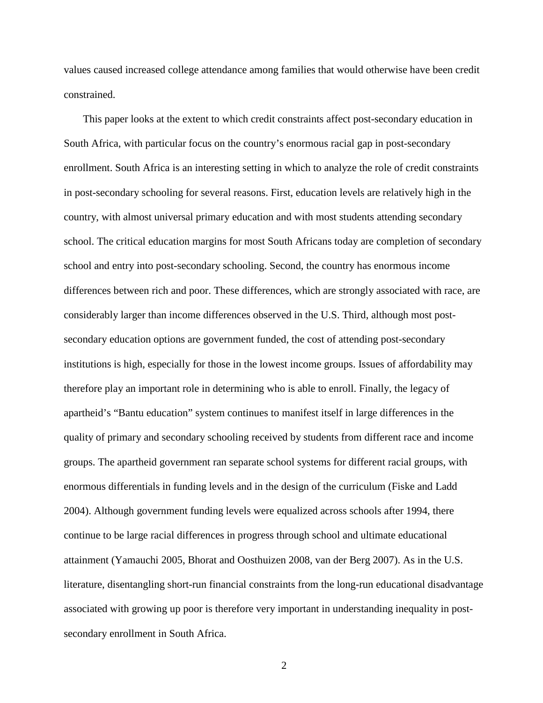values caused increased college attendance among families that would otherwise have been credit constrained.

This paper looks at the extent to which credit constraints affect post-secondary education in South Africa, with particular focus on the country's enormous racial gap in post-secondary enrollment. South Africa is an interesting setting in which to analyze the role of credit constraints in post-secondary schooling for several reasons. First, education levels are relatively high in the country, with almost universal primary education and with most students attending secondary school. The critical education margins for most South Africans today are completion of secondary school and entry into post-secondary schooling. Second, the country has enormous income differences between rich and poor. These differences, which are strongly associated with race, are considerably larger than income differences observed in the U.S. Third, although most postsecondary education options are government funded, the cost of attending post-secondary institutions is high, especially for those in the lowest income groups. Issues of affordability may therefore play an important role in determining who is able to enroll. Finally, the legacy of apartheid's "Bantu education" system continues to manifest itself in large differences in the quality of primary and secondary schooling received by students from different race and income groups. The apartheid government ran separate school systems for different racial groups, with enormous differentials in funding levels and in the design of the curriculum (Fiske and Ladd 2004). Although government funding levels were equalized across schools after 1994, there continue to be large racial differences in progress through school and ultimate educational attainment (Yamauchi 2005, Bhorat and Oosthuizen 2008, van der Berg 2007). As in the U.S. literature, disentangling short-run financial constraints from the long-run educational disadvantage associated with growing up poor is therefore very important in understanding inequality in postsecondary enrollment in South Africa.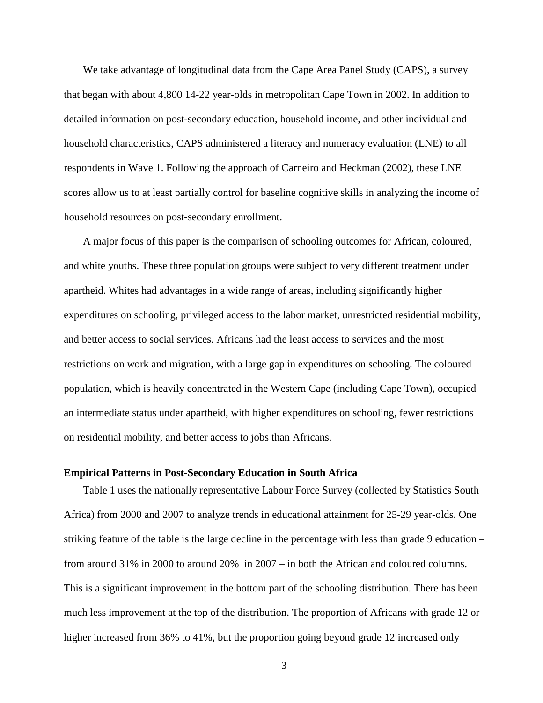We take advantage of longitudinal data from the Cape Area Panel Study (CAPS), a survey that began with about 4,800 14-22 year-olds in metropolitan Cape Town in 2002. In addition to detailed information on post-secondary education, household income, and other individual and household characteristics, CAPS administered a literacy and numeracy evaluation (LNE) to all respondents in Wave 1. Following the approach of Carneiro and Heckman (2002), these LNE scores allow us to at least partially control for baseline cognitive skills in analyzing the income of household resources on post-secondary enrollment.

A major focus of this paper is the comparison of schooling outcomes for African, coloured, and white youths. These three population groups were subject to very different treatment under apartheid. Whites had advantages in a wide range of areas, including significantly higher expenditures on schooling, privileged access to the labor market, unrestricted residential mobility, and better access to social services. Africans had the least access to services and the most restrictions on work and migration, with a large gap in expenditures on schooling. The coloured population, which is heavily concentrated in the Western Cape (including Cape Town), occupied an intermediate status under apartheid, with higher expenditures on schooling, fewer restrictions on residential mobility, and better access to jobs than Africans.

#### **Empirical Patterns in Post-Secondary Education in South Africa**

Table 1 uses the nationally representative Labour Force Survey (collected by Statistics South Africa) from 2000 and 2007 to analyze trends in educational attainment for 25-29 year-olds. One striking feature of the table is the large decline in the percentage with less than grade 9 education – from around 31% in 2000 to around 20% in 2007 – in both the African and coloured columns. This is a significant improvement in the bottom part of the schooling distribution. There has been much less improvement at the top of the distribution. The proportion of Africans with grade 12 or higher increased from 36% to 41%, but the proportion going beyond grade 12 increased only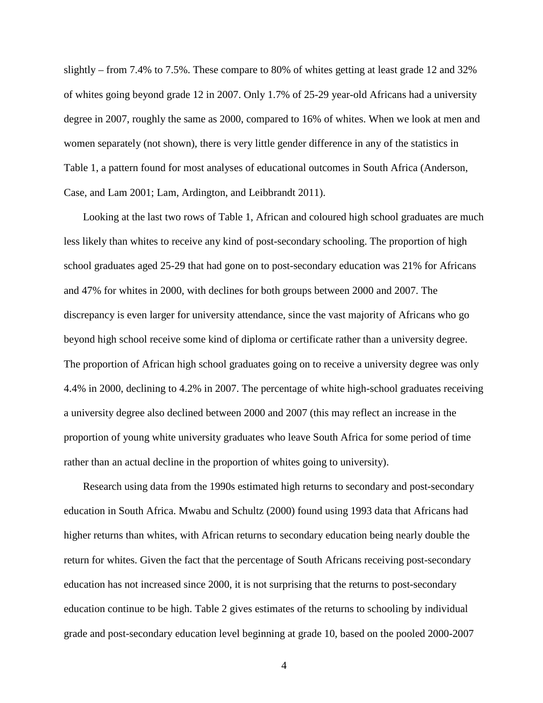slightly – from 7.4% to 7.5%. These compare to 80% of whites getting at least grade 12 and 32% of whites going beyond grade 12 in 2007. Only 1.7% of 25-29 year-old Africans had a university degree in 2007, roughly the same as 2000, compared to 16% of whites. When we look at men and women separately (not shown), there is very little gender difference in any of the statistics in Table 1, a pattern found for most analyses of educational outcomes in South Africa (Anderson, Case, and Lam 2001; Lam, Ardington, and Leibbrandt 2011).

Looking at the last two rows of Table 1, African and coloured high school graduates are much less likely than whites to receive any kind of post-secondary schooling. The proportion of high school graduates aged 25-29 that had gone on to post-secondary education was 21% for Africans and 47% for whites in 2000, with declines for both groups between 2000 and 2007. The discrepancy is even larger for university attendance, since the vast majority of Africans who go beyond high school receive some kind of diploma or certificate rather than a university degree. The proportion of African high school graduates going on to receive a university degree was only 4.4% in 2000, declining to 4.2% in 2007. The percentage of white high-school graduates receiving a university degree also declined between 2000 and 2007 (this may reflect an increase in the proportion of young white university graduates who leave South Africa for some period of time rather than an actual decline in the proportion of whites going to university).

Research using data from the 1990s estimated high returns to secondary and post-secondary education in South Africa. Mwabu and Schultz (2000) found using 1993 data that Africans had higher returns than whites, with African returns to secondary education being nearly double the return for whites. Given the fact that the percentage of South Africans receiving post-secondary education has not increased since 2000, it is not surprising that the returns to post-secondary education continue to be high. Table 2 gives estimates of the returns to schooling by individual grade and post-secondary education level beginning at grade 10, based on the pooled 2000-2007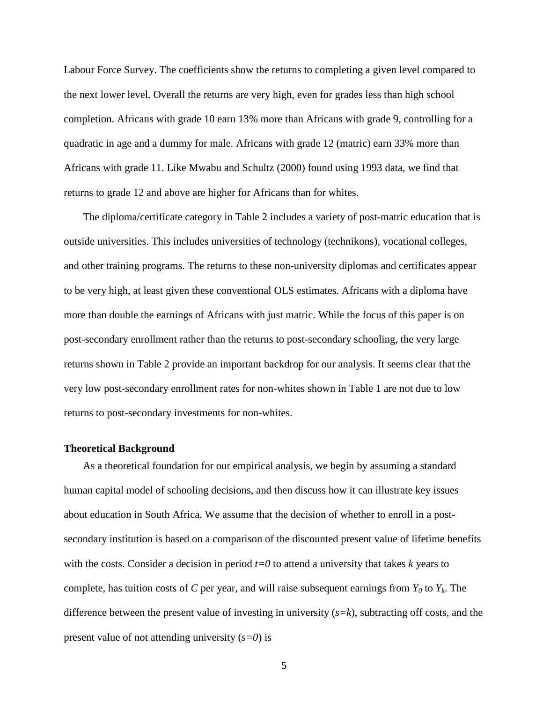Labour Force Survey. The coefficients show the returns to completing a given level compared to the next lower level. Overall the returns are very high, even for grades less than high school completion. Africans with grade 10 earn 13% more than Africans with grade 9, controlling for a quadratic in age and a dummy for male. Africans with grade 12 (matric) earn 33% more than Africans with grade 11. Like Mwabu and Schultz (2000) found using 1993 data, we find that returns to grade 12 and above are higher for Africans than for whites.

The diploma/certificate category in Table 2 includes a variety of post-matric education that is outside universities. This includes universities of technology (technikons), vocational colleges, and other training programs. The returns to these non-university diplomas and certificates appear to be very high, at least given these conventional OLS estimates. Africans with a diploma have more than double the earnings of Africans with just matric. While the focus of this paper is on post-secondary enrollment rather than the returns to post-secondary schooling, the very large returns shown in Table 2 provide an important backdrop for our analysis. It seems clear that the very low post-secondary enrollment rates for non-whites shown in Table 1 are not due to low returns to post-secondary investments for non-whites.

#### **Theoretical Background**

As a theoretical foundation for our empirical analysis, we begin by assuming a standard human capital model of schooling decisions, and then discuss how it can illustrate key issues about education in South Africa. We assume that the decision of whether to enroll in a postsecondary institution is based on a comparison of the discounted present value of lifetime benefits with the costs. Consider a decision in period  $t=0$  to attend a university that takes  $k$  years to complete, has tuition costs of *C* per year, and will raise subsequent earnings from  $Y_0$  to  $Y_k$ . The difference between the present value of investing in university (*s=k*), subtracting off costs, and the present value of not attending university (*s=0*) is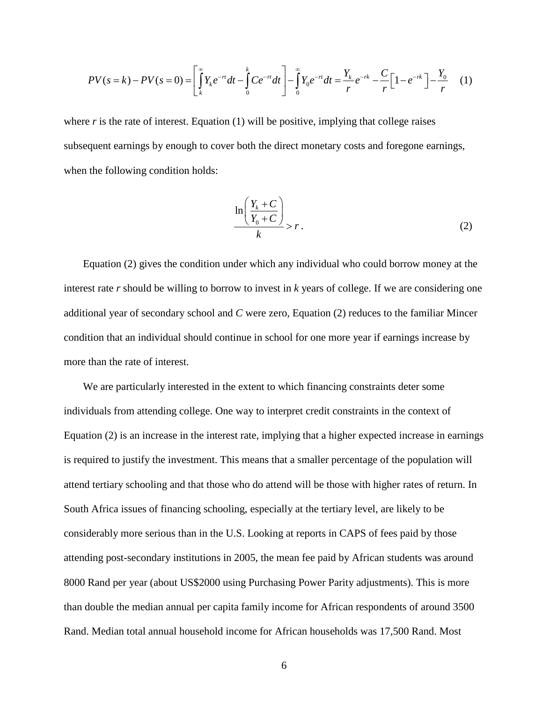$$
PV(s = k) - PV(s = 0) = \left[ \int_{k}^{\infty} Y_k e^{-rt} dt - \int_{0}^{k} Ce^{-rt} dt \right] - \int_{0}^{\infty} Y_0 e^{-rt} dt = \frac{Y_k}{r} e^{-rk} - \frac{C}{r} \left[ 1 - e^{-rk} \right] - \frac{Y_0}{r} \tag{1}
$$

where  $r$  is the rate of interest. Equation  $(1)$  will be positive, implying that college raises subsequent earnings by enough to cover both the direct monetary costs and foregone earnings, when the following condition holds:

$$
\frac{\ln\left(\frac{Y_k + C}{Y_0 + C}\right)}{k} > r.
$$
 (2)

Equation (2) gives the condition under which any individual who could borrow money at the interest rate *r* should be willing to borrow to invest in *k* years of college. If we are considering one additional year of secondary school and *C* were zero, Equation (2) reduces to the familiar Mincer condition that an individual should continue in school for one more year if earnings increase by more than the rate of interest.

We are particularly interested in the extent to which financing constraints deter some individuals from attending college. One way to interpret credit constraints in the context of Equation (2) is an increase in the interest rate, implying that a higher expected increase in earnings is required to justify the investment. This means that a smaller percentage of the population will attend tertiary schooling and that those who do attend will be those with higher rates of return. In South Africa issues of financing schooling, especially at the tertiary level, are likely to be considerably more serious than in the U.S. Looking at reports in CAPS of fees paid by those attending post-secondary institutions in 2005, the mean fee paid by African students was around 8000 Rand per year (about US\$2000 using Purchasing Power Parity adjustments). This is more than double the median annual per capita family income for African respondents of around 3500 Rand. Median total annual household income for African households was 17,500 Rand. Most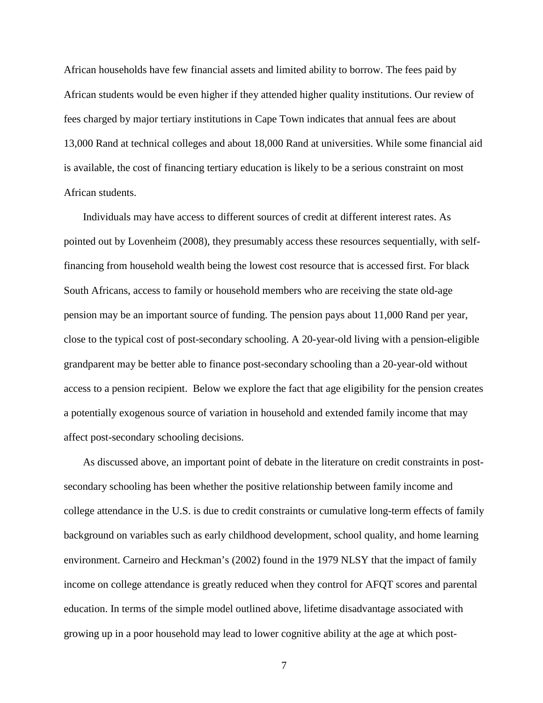African households have few financial assets and limited ability to borrow. The fees paid by African students would be even higher if they attended higher quality institutions. Our review of fees charged by major tertiary institutions in Cape Town indicates that annual fees are about 13,000 Rand at technical colleges and about 18,000 Rand at universities. While some financial aid is available, the cost of financing tertiary education is likely to be a serious constraint on most African students.

Individuals may have access to different sources of credit at different interest rates. As pointed out by Lovenheim (2008), they presumably access these resources sequentially, with selffinancing from household wealth being the lowest cost resource that is accessed first. For black South Africans, access to family or household members who are receiving the state old-age pension may be an important source of funding. The pension pays about 11,000 Rand per year, close to the typical cost of post-secondary schooling. A 20-year-old living with a pension-eligible grandparent may be better able to finance post-secondary schooling than a 20-year-old without access to a pension recipient. Below we explore the fact that age eligibility for the pension creates a potentially exogenous source of variation in household and extended family income that may affect post-secondary schooling decisions.

As discussed above, an important point of debate in the literature on credit constraints in postsecondary schooling has been whether the positive relationship between family income and college attendance in the U.S. is due to credit constraints or cumulative long-term effects of family background on variables such as early childhood development, school quality, and home learning environment. Carneiro and Heckman's (2002) found in the 1979 NLSY that the impact of family income on college attendance is greatly reduced when they control for AFQT scores and parental education. In terms of the simple model outlined above, lifetime disadvantage associated with growing up in a poor household may lead to lower cognitive ability at the age at which post-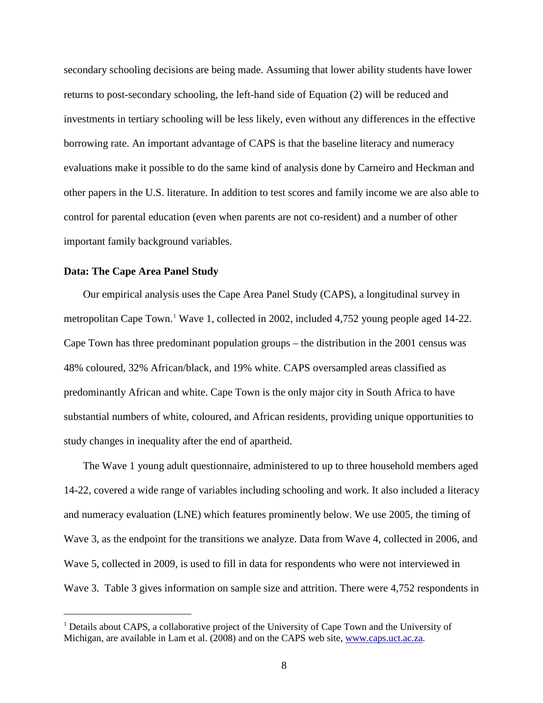secondary schooling decisions are being made. Assuming that lower ability students have lower returns to post-secondary schooling, the left-hand side of Equation (2) will be reduced and investments in tertiary schooling will be less likely, even without any differences in the effective borrowing rate. An important advantage of CAPS is that the baseline literacy and numeracy evaluations make it possible to do the same kind of analysis done by Carneiro and Heckman and other papers in the U.S. literature. In addition to test scores and family income we are also able to control for parental education (even when parents are not co-resident) and a number of other important family background variables.

#### **Data: The Cape Area Panel Study**

Our empirical analysis uses the Cape Area Panel Study (CAPS), a longitudinal survey in metropolitan Cape Town.<sup>[1](#page-1-0)</sup> Wave 1, collected in 2002, included 4,752 young people aged 14-22. Cape Town has three predominant population groups – the distribution in the 2001 census was 48% coloured, 32% African/black, and 19% white. CAPS oversampled areas classified as predominantly African and white. Cape Town is the only major city in South Africa to have substantial numbers of white, coloured, and African residents, providing unique opportunities to study changes in inequality after the end of apartheid.

The Wave 1 young adult questionnaire, administered to up to three household members aged 14-22, covered a wide range of variables including schooling and work. It also included a literacy and numeracy evaluation (LNE) which features prominently below. We use 2005, the timing of Wave 3, as the endpoint for the transitions we analyze. Data from Wave 4, collected in 2006, and Wave 5, collected in 2009, is used to fill in data for respondents who were not interviewed in Wave 3. Table 3 gives information on sample size and attrition. There were 4,752 respondents in

<sup>&</sup>lt;sup>1</sup> Details about CAPS, a collaborative project of the University of Cape Town and the University of Michigan, are available in Lam et al. (2008) and on the CAPS web site, [www.caps.uct.ac.za.](http://www.caps.uct.ac.za/)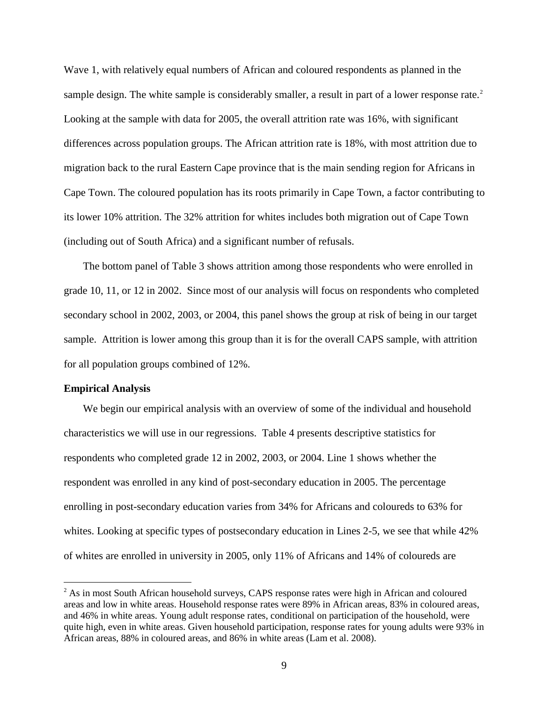Wave 1, with relatively equal numbers of African and coloured respondents as planned in the sample design. The white sample is considerably smaller, a result in part of a lower response rate.<sup>[2](#page-10-0)</sup> Looking at the sample with data for 2005, the overall attrition rate was 16%, with significant differences across population groups. The African attrition rate is 18%, with most attrition due to migration back to the rural Eastern Cape province that is the main sending region for Africans in Cape Town. The coloured population has its roots primarily in Cape Town, a factor contributing to its lower 10% attrition. The 32% attrition for whites includes both migration out of Cape Town (including out of South Africa) and a significant number of refusals.

The bottom panel of Table 3 shows attrition among those respondents who were enrolled in grade 10, 11, or 12 in 2002. Since most of our analysis will focus on respondents who completed secondary school in 2002, 2003, or 2004, this panel shows the group at risk of being in our target sample. Attrition is lower among this group than it is for the overall CAPS sample, with attrition for all population groups combined of 12%.

#### **Empirical Analysis**

We begin our empirical analysis with an overview of some of the individual and household characteristics we will use in our regressions. Table 4 presents descriptive statistics for respondents who completed grade 12 in 2002, 2003, or 2004. Line 1 shows whether the respondent was enrolled in any kind of post-secondary education in 2005. The percentage enrolling in post-secondary education varies from 34% for Africans and coloureds to 63% for whites. Looking at specific types of postsecondary education in Lines 2-5, we see that while 42% of whites are enrolled in university in 2005, only 11% of Africans and 14% of coloureds are

<span id="page-10-0"></span><sup>&</sup>lt;sup>2</sup> As in most South African household surveys, CAPS response rates were high in African and coloured areas and low in white areas. Household response rates were 89% in African areas, 83% in coloured areas, and 46% in white areas. Young adult response rates, conditional on participation of the household, were quite high, even in white areas. Given household participation, response rates for young adults were 93% in African areas, 88% in coloured areas, and 86% in white areas (Lam et al. 2008).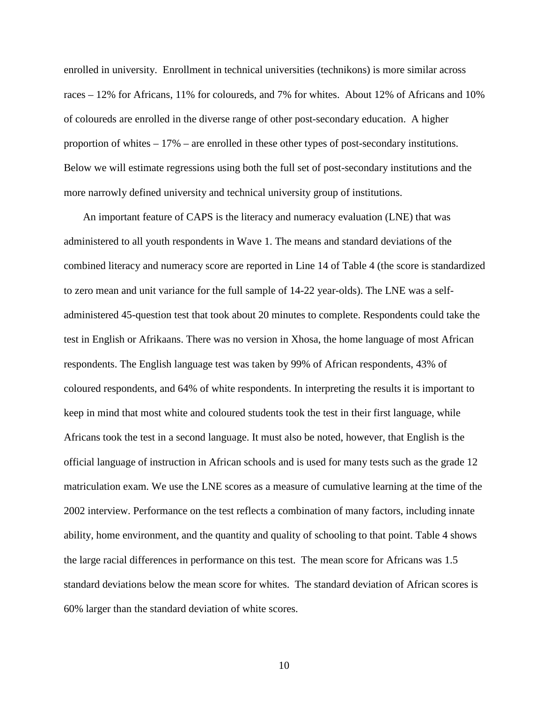enrolled in university. Enrollment in technical universities (technikons) is more similar across races – 12% for Africans, 11% for coloureds, and 7% for whites. About 12% of Africans and 10% of coloureds are enrolled in the diverse range of other post-secondary education. A higher proportion of whites – 17% – are enrolled in these other types of post-secondary institutions. Below we will estimate regressions using both the full set of post-secondary institutions and the more narrowly defined university and technical university group of institutions.

An important feature of CAPS is the literacy and numeracy evaluation (LNE) that was administered to all youth respondents in Wave 1. The means and standard deviations of the combined literacy and numeracy score are reported in Line 14 of Table 4 (the score is standardized to zero mean and unit variance for the full sample of 14-22 year-olds). The LNE was a selfadministered 45-question test that took about 20 minutes to complete. Respondents could take the test in English or Afrikaans. There was no version in Xhosa, the home language of most African respondents. The English language test was taken by 99% of African respondents, 43% of coloured respondents, and 64% of white respondents. In interpreting the results it is important to keep in mind that most white and coloured students took the test in their first language, while Africans took the test in a second language. It must also be noted, however, that English is the official language of instruction in African schools and is used for many tests such as the grade 12 matriculation exam. We use the LNE scores as a measure of cumulative learning at the time of the 2002 interview. Performance on the test reflects a combination of many factors, including innate ability, home environment, and the quantity and quality of schooling to that point. Table 4 shows the large racial differences in performance on this test. The mean score for Africans was 1.5 standard deviations below the mean score for whites. The standard deviation of African scores is 60% larger than the standard deviation of white scores.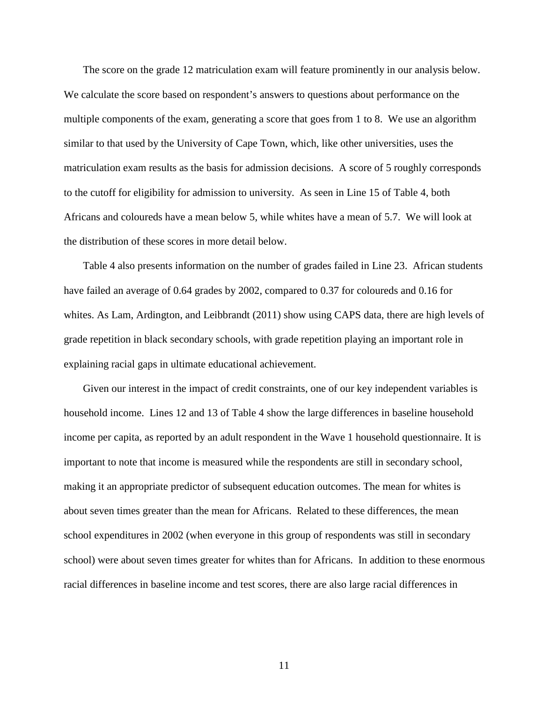The score on the grade 12 matriculation exam will feature prominently in our analysis below. We calculate the score based on respondent's answers to questions about performance on the multiple components of the exam, generating a score that goes from 1 to 8. We use an algorithm similar to that used by the University of Cape Town, which, like other universities, uses the matriculation exam results as the basis for admission decisions. A score of 5 roughly corresponds to the cutoff for eligibility for admission to university. As seen in Line 15 of Table 4, both Africans and coloureds have a mean below 5, while whites have a mean of 5.7. We will look at the distribution of these scores in more detail below.

Table 4 also presents information on the number of grades failed in Line 23. African students have failed an average of 0.64 grades by 2002, compared to 0.37 for coloureds and 0.16 for whites. As Lam, Ardington, and Leibbrandt (2011) show using CAPS data, there are high levels of grade repetition in black secondary schools, with grade repetition playing an important role in explaining racial gaps in ultimate educational achievement.

Given our interest in the impact of credit constraints, one of our key independent variables is household income. Lines 12 and 13 of Table 4 show the large differences in baseline household income per capita, as reported by an adult respondent in the Wave 1 household questionnaire. It is important to note that income is measured while the respondents are still in secondary school, making it an appropriate predictor of subsequent education outcomes. The mean for whites is about seven times greater than the mean for Africans. Related to these differences, the mean school expenditures in 2002 (when everyone in this group of respondents was still in secondary school) were about seven times greater for whites than for Africans. In addition to these enormous racial differences in baseline income and test scores, there are also large racial differences in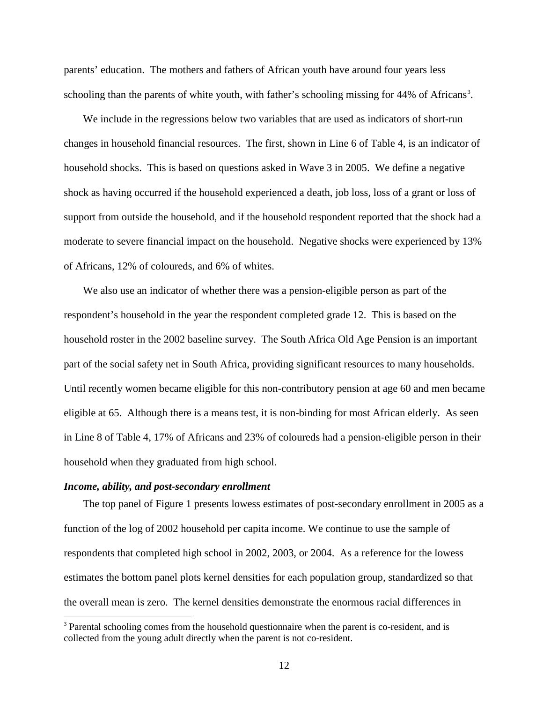parents' education. The mothers and fathers of African youth have around four years less schooling than the parents of white youth, with father's schooling missing for 44% of Africans<sup>[3](#page-13-0)</sup>.

We include in the regressions below two variables that are used as indicators of short-run changes in household financial resources. The first, shown in Line 6 of Table 4, is an indicator of household shocks. This is based on questions asked in Wave 3 in 2005. We define a negative shock as having occurred if the household experienced a death, job loss, loss of a grant or loss of support from outside the household, and if the household respondent reported that the shock had a moderate to severe financial impact on the household. Negative shocks were experienced by 13% of Africans, 12% of coloureds, and 6% of whites.

We also use an indicator of whether there was a pension-eligible person as part of the respondent's household in the year the respondent completed grade 12. This is based on the household roster in the 2002 baseline survey. The South Africa Old Age Pension is an important part of the social safety net in South Africa, providing significant resources to many households. Until recently women became eligible for this non-contributory pension at age 60 and men became eligible at 65. Although there is a means test, it is non-binding for most African elderly. As seen in Line 8 of Table 4, 17% of Africans and 23% of coloureds had a pension-eligible person in their household when they graduated from high school.

#### *Income, ability, and post-secondary enrollment*

The top panel of Figure 1 presents lowess estimates of post-secondary enrollment in 2005 as a function of the log of 2002 household per capita income. We continue to use the sample of respondents that completed high school in 2002, 2003, or 2004. As a reference for the lowess estimates the bottom panel plots kernel densities for each population group, standardized so that the overall mean is zero. The kernel densities demonstrate the enormous racial differences in

<span id="page-13-0"></span><sup>&</sup>lt;sup>3</sup> Parental schooling comes from the household questionnaire when the parent is co-resident, and is collected from the young adult directly when the parent is not co-resident.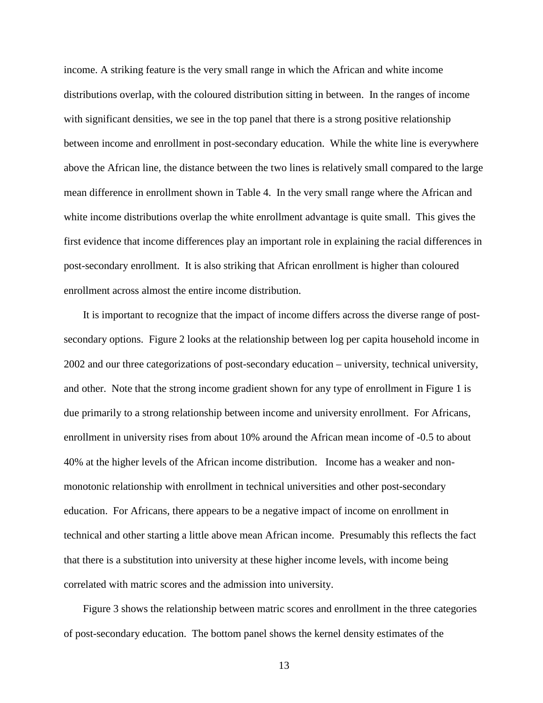income. A striking feature is the very small range in which the African and white income distributions overlap, with the coloured distribution sitting in between. In the ranges of income with significant densities, we see in the top panel that there is a strong positive relationship between income and enrollment in post-secondary education. While the white line is everywhere above the African line, the distance between the two lines is relatively small compared to the large mean difference in enrollment shown in Table 4. In the very small range where the African and white income distributions overlap the white enrollment advantage is quite small. This gives the first evidence that income differences play an important role in explaining the racial differences in post-secondary enrollment. It is also striking that African enrollment is higher than coloured enrollment across almost the entire income distribution.

It is important to recognize that the impact of income differs across the diverse range of postsecondary options. Figure 2 looks at the relationship between log per capita household income in 2002 and our three categorizations of post-secondary education – university, technical university, and other. Note that the strong income gradient shown for any type of enrollment in Figure 1 is due primarily to a strong relationship between income and university enrollment. For Africans, enrollment in university rises from about 10% around the African mean income of -0.5 to about 40% at the higher levels of the African income distribution. Income has a weaker and nonmonotonic relationship with enrollment in technical universities and other post-secondary education. For Africans, there appears to be a negative impact of income on enrollment in technical and other starting a little above mean African income. Presumably this reflects the fact that there is a substitution into university at these higher income levels, with income being correlated with matric scores and the admission into university.

Figure 3 shows the relationship between matric scores and enrollment in the three categories of post-secondary education. The bottom panel shows the kernel density estimates of the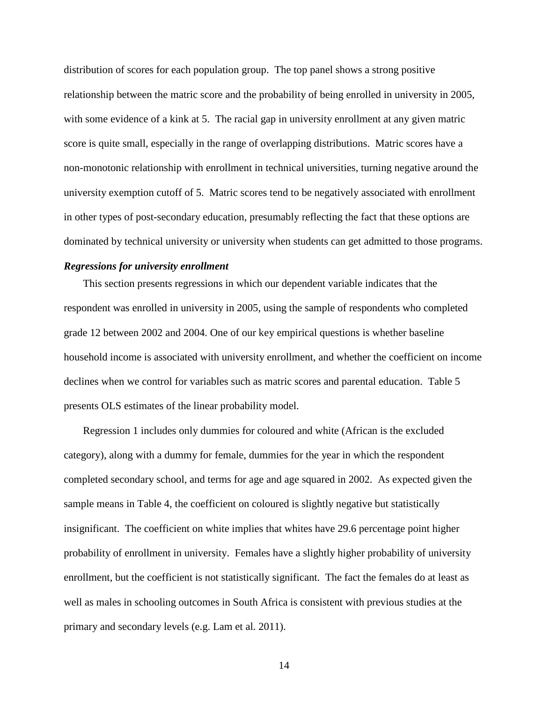distribution of scores for each population group. The top panel shows a strong positive relationship between the matric score and the probability of being enrolled in university in 2005, with some evidence of a kink at 5. The racial gap in university enrollment at any given matric score is quite small, especially in the range of overlapping distributions. Matric scores have a non-monotonic relationship with enrollment in technical universities, turning negative around the university exemption cutoff of 5. Matric scores tend to be negatively associated with enrollment in other types of post-secondary education, presumably reflecting the fact that these options are dominated by technical university or university when students can get admitted to those programs.

#### *Regressions for university enrollment*

This section presents regressions in which our dependent variable indicates that the respondent was enrolled in university in 2005, using the sample of respondents who completed grade 12 between 2002 and 2004. One of our key empirical questions is whether baseline household income is associated with university enrollment, and whether the coefficient on income declines when we control for variables such as matric scores and parental education. Table 5 presents OLS estimates of the linear probability model.

Regression 1 includes only dummies for coloured and white (African is the excluded category), along with a dummy for female, dummies for the year in which the respondent completed secondary school, and terms for age and age squared in 2002. As expected given the sample means in Table 4, the coefficient on coloured is slightly negative but statistically insignificant. The coefficient on white implies that whites have 29.6 percentage point higher probability of enrollment in university. Females have a slightly higher probability of university enrollment, but the coefficient is not statistically significant. The fact the females do at least as well as males in schooling outcomes in South Africa is consistent with previous studies at the primary and secondary levels (e.g. Lam et al. 2011).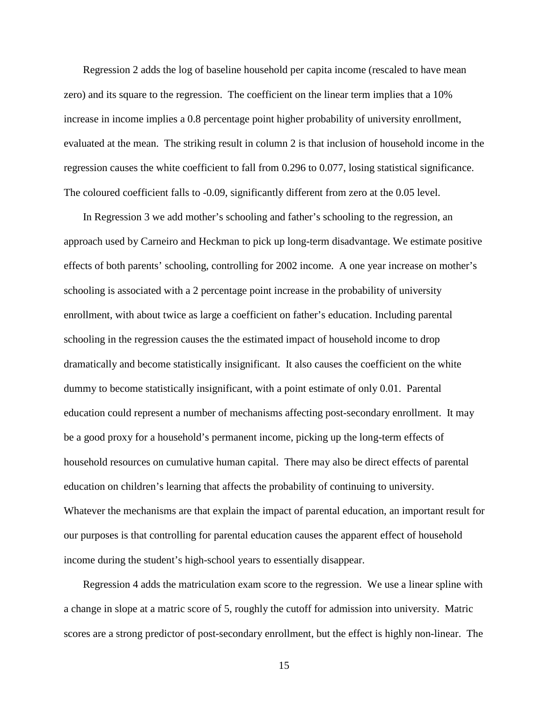Regression 2 adds the log of baseline household per capita income (rescaled to have mean zero) and its square to the regression. The coefficient on the linear term implies that a 10% increase in income implies a 0.8 percentage point higher probability of university enrollment, evaluated at the mean. The striking result in column 2 is that inclusion of household income in the regression causes the white coefficient to fall from 0.296 to 0.077, losing statistical significance. The coloured coefficient falls to -0.09, significantly different from zero at the 0.05 level.

In Regression 3 we add mother's schooling and father's schooling to the regression, an approach used by Carneiro and Heckman to pick up long-term disadvantage. We estimate positive effects of both parents' schooling, controlling for 2002 income. A one year increase on mother's schooling is associated with a 2 percentage point increase in the probability of university enrollment, with about twice as large a coefficient on father's education. Including parental schooling in the regression causes the the estimated impact of household income to drop dramatically and become statistically insignificant. It also causes the coefficient on the white dummy to become statistically insignificant, with a point estimate of only 0.01. Parental education could represent a number of mechanisms affecting post-secondary enrollment. It may be a good proxy for a household's permanent income, picking up the long-term effects of household resources on cumulative human capital. There may also be direct effects of parental education on children's learning that affects the probability of continuing to university. Whatever the mechanisms are that explain the impact of parental education, an important result for our purposes is that controlling for parental education causes the apparent effect of household income during the student's high-school years to essentially disappear.

Regression 4 adds the matriculation exam score to the regression. We use a linear spline with a change in slope at a matric score of 5, roughly the cutoff for admission into university. Matric scores are a strong predictor of post-secondary enrollment, but the effect is highly non-linear. The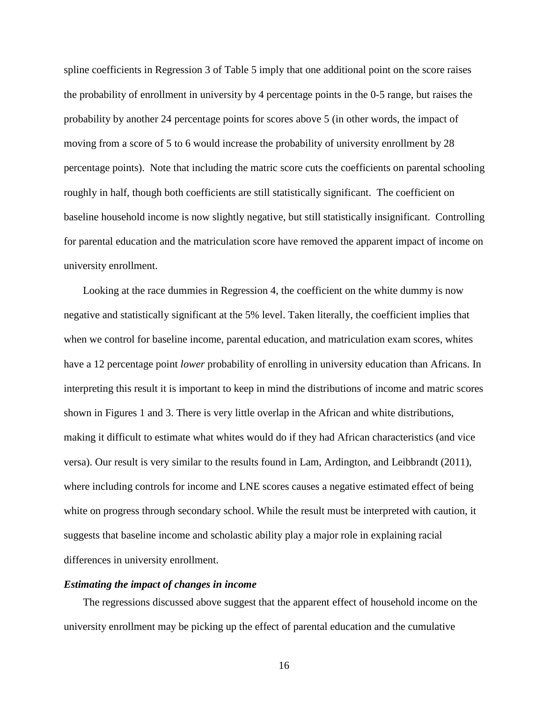spline coefficients in Regression 3 of Table 5 imply that one additional point on the score raises the probability of enrollment in university by 4 percentage points in the 0-5 range, but raises the probability by another 24 percentage points for scores above 5 (in other words, the impact of moving from a score of 5 to 6 would increase the probability of university enrollment by 28 percentage points). Note that including the matric score cuts the coefficients on parental schooling roughly in half, though both coefficients are still statistically significant. The coefficient on baseline household income is now slightly negative, but still statistically insignificant. Controlling for parental education and the matriculation score have removed the apparent impact of income on university enrollment.

Looking at the race dummies in Regression 4, the coefficient on the white dummy is now negative and statistically significant at the 5% level. Taken literally, the coefficient implies that when we control for baseline income, parental education, and matriculation exam scores, whites have a 12 percentage point *lower* probability of enrolling in university education than Africans. In interpreting this result it is important to keep in mind the distributions of income and matric scores shown in Figures 1 and 3. There is very little overlap in the African and white distributions, making it difficult to estimate what whites would do if they had African characteristics (and vice versa). Our result is very similar to the results found in Lam, Ardington, and Leibbrandt (2011), where including controls for income and LNE scores causes a negative estimated effect of being white on progress through secondary school. While the result must be interpreted with caution, it suggests that baseline income and scholastic ability play a major role in explaining racial differences in university enrollment.

### *Estimating the impact of changes in income*

The regressions discussed above suggest that the apparent effect of household income on the university enrollment may be picking up the effect of parental education and the cumulative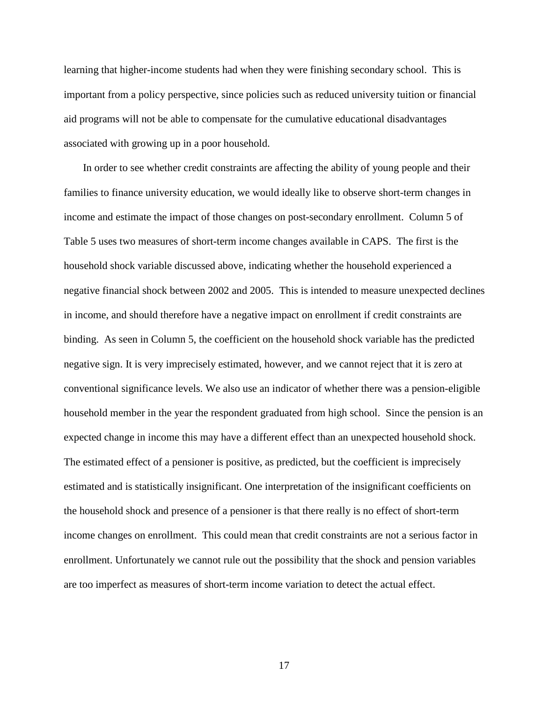learning that higher-income students had when they were finishing secondary school. This is important from a policy perspective, since policies such as reduced university tuition or financial aid programs will not be able to compensate for the cumulative educational disadvantages associated with growing up in a poor household.

In order to see whether credit constraints are affecting the ability of young people and their families to finance university education, we would ideally like to observe short-term changes in income and estimate the impact of those changes on post-secondary enrollment. Column 5 of Table 5 uses two measures of short-term income changes available in CAPS. The first is the household shock variable discussed above, indicating whether the household experienced a negative financial shock between 2002 and 2005. This is intended to measure unexpected declines in income, and should therefore have a negative impact on enrollment if credit constraints are binding. As seen in Column 5, the coefficient on the household shock variable has the predicted negative sign. It is very imprecisely estimated, however, and we cannot reject that it is zero at conventional significance levels. We also use an indicator of whether there was a pension-eligible household member in the year the respondent graduated from high school. Since the pension is an expected change in income this may have a different effect than an unexpected household shock. The estimated effect of a pensioner is positive, as predicted, but the coefficient is imprecisely estimated and is statistically insignificant. One interpretation of the insignificant coefficients on the household shock and presence of a pensioner is that there really is no effect of short-term income changes on enrollment. This could mean that credit constraints are not a serious factor in enrollment. Unfortunately we cannot rule out the possibility that the shock and pension variables are too imperfect as measures of short-term income variation to detect the actual effect.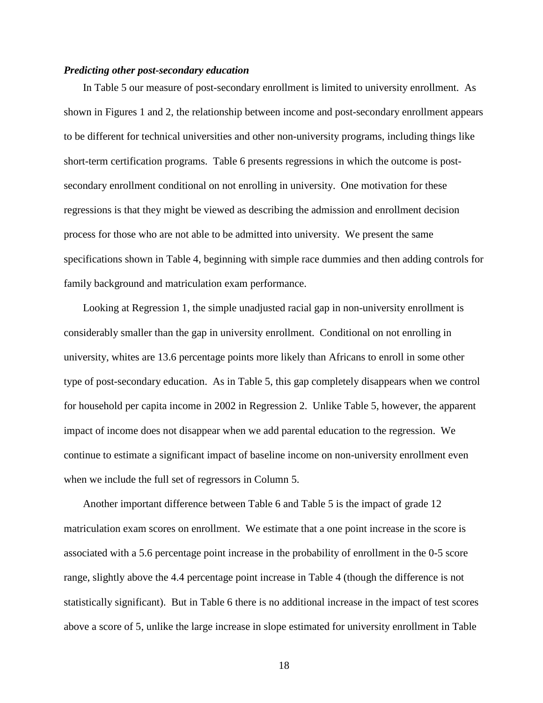#### *Predicting other post-secondary education*

In Table 5 our measure of post-secondary enrollment is limited to university enrollment. As shown in Figures 1 and 2, the relationship between income and post-secondary enrollment appears to be different for technical universities and other non-university programs, including things like short-term certification programs. Table 6 presents regressions in which the outcome is postsecondary enrollment conditional on not enrolling in university. One motivation for these regressions is that they might be viewed as describing the admission and enrollment decision process for those who are not able to be admitted into university. We present the same specifications shown in Table 4, beginning with simple race dummies and then adding controls for family background and matriculation exam performance.

Looking at Regression 1, the simple unadjusted racial gap in non-university enrollment is considerably smaller than the gap in university enrollment. Conditional on not enrolling in university, whites are 13.6 percentage points more likely than Africans to enroll in some other type of post-secondary education. As in Table 5, this gap completely disappears when we control for household per capita income in 2002 in Regression 2. Unlike Table 5, however, the apparent impact of income does not disappear when we add parental education to the regression. We continue to estimate a significant impact of baseline income on non-university enrollment even when we include the full set of regressors in Column 5.

Another important difference between Table 6 and Table 5 is the impact of grade 12 matriculation exam scores on enrollment. We estimate that a one point increase in the score is associated with a 5.6 percentage point increase in the probability of enrollment in the 0-5 score range, slightly above the 4.4 percentage point increase in Table 4 (though the difference is not statistically significant). But in Table 6 there is no additional increase in the impact of test scores above a score of 5, unlike the large increase in slope estimated for university enrollment in Table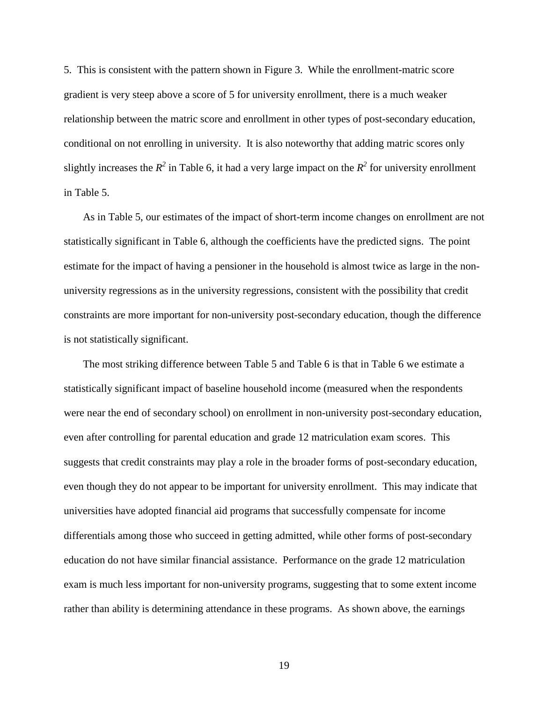5. This is consistent with the pattern shown in Figure 3. While the enrollment-matric score gradient is very steep above a score of 5 for university enrollment, there is a much weaker relationship between the matric score and enrollment in other types of post-secondary education, conditional on not enrolling in university. It is also noteworthy that adding matric scores only slightly increases the  $R^2$  in Table 6, it had a very large impact on the  $R^2$  for university enrollment in Table 5.

As in Table 5, our estimates of the impact of short-term income changes on enrollment are not statistically significant in Table 6, although the coefficients have the predicted signs. The point estimate for the impact of having a pensioner in the household is almost twice as large in the nonuniversity regressions as in the university regressions, consistent with the possibility that credit constraints are more important for non-university post-secondary education, though the difference is not statistically significant.

The most striking difference between Table 5 and Table 6 is that in Table 6 we estimate a statistically significant impact of baseline household income (measured when the respondents were near the end of secondary school) on enrollment in non-university post-secondary education, even after controlling for parental education and grade 12 matriculation exam scores. This suggests that credit constraints may play a role in the broader forms of post-secondary education, even though they do not appear to be important for university enrollment. This may indicate that universities have adopted financial aid programs that successfully compensate for income differentials among those who succeed in getting admitted, while other forms of post-secondary education do not have similar financial assistance. Performance on the grade 12 matriculation exam is much less important for non-university programs, suggesting that to some extent income rather than ability is determining attendance in these programs. As shown above, the earnings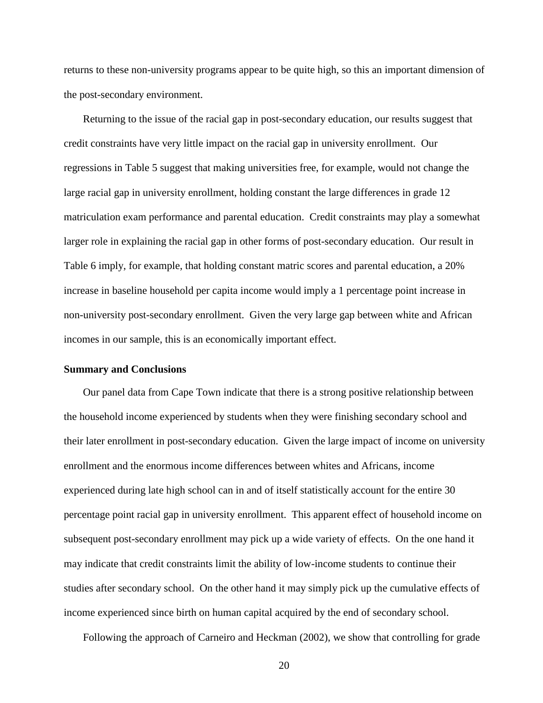returns to these non-university programs appear to be quite high, so this an important dimension of the post-secondary environment.

Returning to the issue of the racial gap in post-secondary education, our results suggest that credit constraints have very little impact on the racial gap in university enrollment. Our regressions in Table 5 suggest that making universities free, for example, would not change the large racial gap in university enrollment, holding constant the large differences in grade 12 matriculation exam performance and parental education. Credit constraints may play a somewhat larger role in explaining the racial gap in other forms of post-secondary education. Our result in Table 6 imply, for example, that holding constant matric scores and parental education, a 20% increase in baseline household per capita income would imply a 1 percentage point increase in non-university post-secondary enrollment. Given the very large gap between white and African incomes in our sample, this is an economically important effect.

#### **Summary and Conclusions**

Our panel data from Cape Town indicate that there is a strong positive relationship between the household income experienced by students when they were finishing secondary school and their later enrollment in post-secondary education. Given the large impact of income on university enrollment and the enormous income differences between whites and Africans, income experienced during late high school can in and of itself statistically account for the entire 30 percentage point racial gap in university enrollment. This apparent effect of household income on subsequent post-secondary enrollment may pick up a wide variety of effects. On the one hand it may indicate that credit constraints limit the ability of low-income students to continue their studies after secondary school. On the other hand it may simply pick up the cumulative effects of income experienced since birth on human capital acquired by the end of secondary school.

Following the approach of Carneiro and Heckman (2002), we show that controlling for grade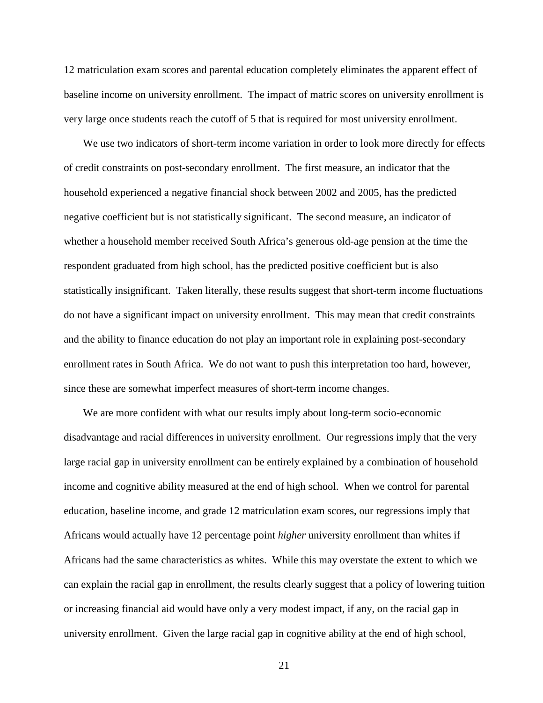12 matriculation exam scores and parental education completely eliminates the apparent effect of baseline income on university enrollment. The impact of matric scores on university enrollment is very large once students reach the cutoff of 5 that is required for most university enrollment.

We use two indicators of short-term income variation in order to look more directly for effects of credit constraints on post-secondary enrollment. The first measure, an indicator that the household experienced a negative financial shock between 2002 and 2005, has the predicted negative coefficient but is not statistically significant. The second measure, an indicator of whether a household member received South Africa's generous old-age pension at the time the respondent graduated from high school, has the predicted positive coefficient but is also statistically insignificant. Taken literally, these results suggest that short-term income fluctuations do not have a significant impact on university enrollment. This may mean that credit constraints and the ability to finance education do not play an important role in explaining post-secondary enrollment rates in South Africa. We do not want to push this interpretation too hard, however, since these are somewhat imperfect measures of short-term income changes.

We are more confident with what our results imply about long-term socio-economic disadvantage and racial differences in university enrollment. Our regressions imply that the very large racial gap in university enrollment can be entirely explained by a combination of household income and cognitive ability measured at the end of high school. When we control for parental education, baseline income, and grade 12 matriculation exam scores, our regressions imply that Africans would actually have 12 percentage point *higher* university enrollment than whites if Africans had the same characteristics as whites. While this may overstate the extent to which we can explain the racial gap in enrollment, the results clearly suggest that a policy of lowering tuition or increasing financial aid would have only a very modest impact, if any, on the racial gap in university enrollment. Given the large racial gap in cognitive ability at the end of high school,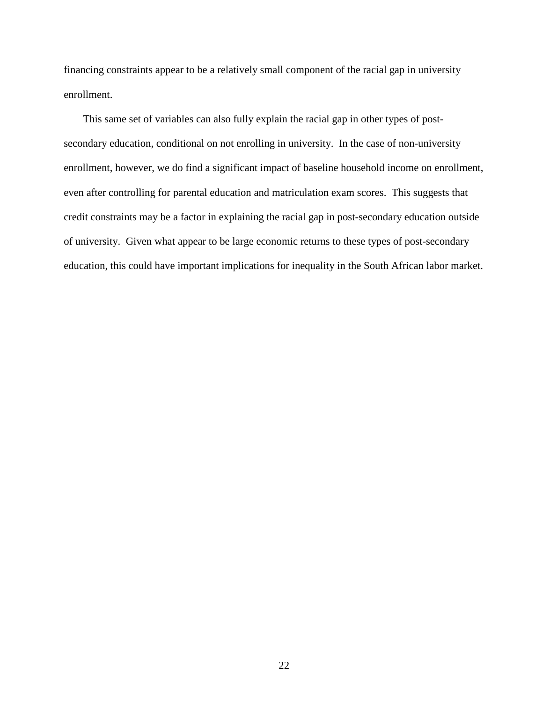financing constraints appear to be a relatively small component of the racial gap in university enrollment.

This same set of variables can also fully explain the racial gap in other types of postsecondary education, conditional on not enrolling in university. In the case of non-university enrollment, however, we do find a significant impact of baseline household income on enrollment, even after controlling for parental education and matriculation exam scores. This suggests that credit constraints may be a factor in explaining the racial gap in post-secondary education outside of university. Given what appear to be large economic returns to these types of post-secondary education, this could have important implications for inequality in the South African labor market.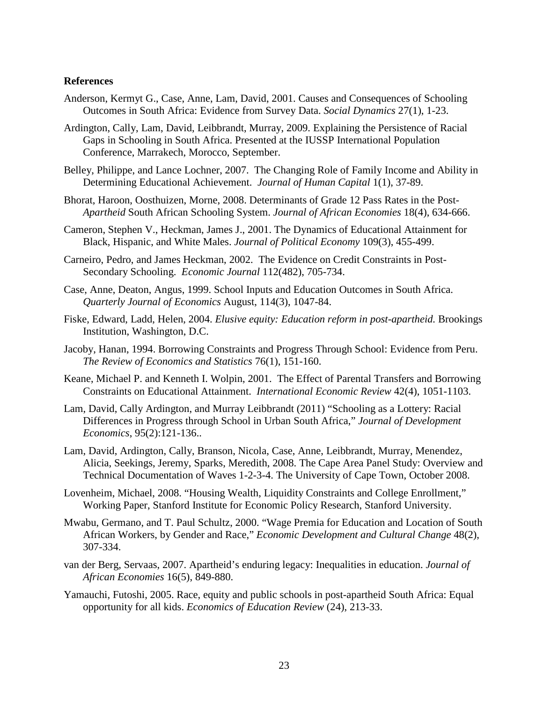#### **References**

- Anderson, Kermyt G., Case, Anne, Lam, David, 2001. Causes and Consequences of Schooling Outcomes in South Africa: Evidence from Survey Data. *Social Dynamics* 27(1), 1-23.
- Ardington, Cally, Lam, David, Leibbrandt, Murray, 2009. Explaining the Persistence of Racial Gaps in Schooling in South Africa. Presented at the IUSSP International Population Conference, Marrakech, Morocco, September.
- Belley, Philippe, and Lance Lochner, 2007. The Changing Role of Family Income and Ability in Determining Educational Achievement. *Journal of Human Capital* 1(1), 37-89.
- Bhorat, Haroon, Oosthuizen, Morne, 2008. Determinants of Grade 12 Pass Rates in the Post-*Apartheid* South African Schooling System. *Journal of African Economies* 18(4), 634-666.
- Cameron, Stephen V., Heckman, James J., 2001. The Dynamics of Educational Attainment for Black, Hispanic, and White Males. *Journal of Political Economy* 109(3), 455-499.
- Carneiro, Pedro, and James Heckman, 2002. The Evidence on Credit Constraints in Post-Secondary Schooling. *Economic Journal* 112(482), 705-734.
- Case, Anne, Deaton, Angus, 1999. School Inputs and Education Outcomes in South Africa. *Quarterly Journal of Economics* August, 114(3), 1047-84.
- Fiske, Edward, Ladd, Helen, 2004. *Elusive equity: Education reform in post-apartheid.* Brookings Institution, Washington, D.C.
- Jacoby, Hanan, 1994. Borrowing Constraints and Progress Through School: Evidence from Peru. *The Review of Economics and Statistics* 76(1), 151-160.
- Keane, Michael P. and Kenneth I. Wolpin, 2001. The Effect of Parental Transfers and Borrowing Constraints on Educational Attainment. *International Economic Review* 42(4), 1051-1103.
- Lam, David, Cally Ardington, and Murray Leibbrandt (2011) "Schooling as a Lottery: Racial Differences in Progress through School in Urban South Africa," *Journal of Development Economics*, 95(2):121-136..
- Lam, David, Ardington, Cally, Branson, Nicola, Case, Anne, Leibbrandt, Murray, Menendez, Alicia, Seekings, Jeremy, Sparks, Meredith, 2008. The Cape Area Panel Study: Overview and Technical Documentation of Waves 1-2-3-4. The University of Cape Town, October 2008.
- Lovenheim, Michael, 2008. "Housing Wealth, Liquidity Constraints and College Enrollment," Working Paper, Stanford Institute for Economic Policy Research, Stanford University.
- Mwabu, Germano, and T. Paul Schultz, 2000. "Wage Premia for Education and Location of South African Workers, by Gender and Race," *Economic Development and Cultural Change* 48(2), 307-334.
- van der Berg, Servaas, 2007. Apartheid's enduring legacy: Inequalities in education. *Journal of African Economies* 16(5), 849-880.
- Yamauchi, Futoshi, 2005. Race, equity and public schools in post-apartheid South Africa: Equal opportunity for all kids. *Economics of Education Review* (24), 213-33.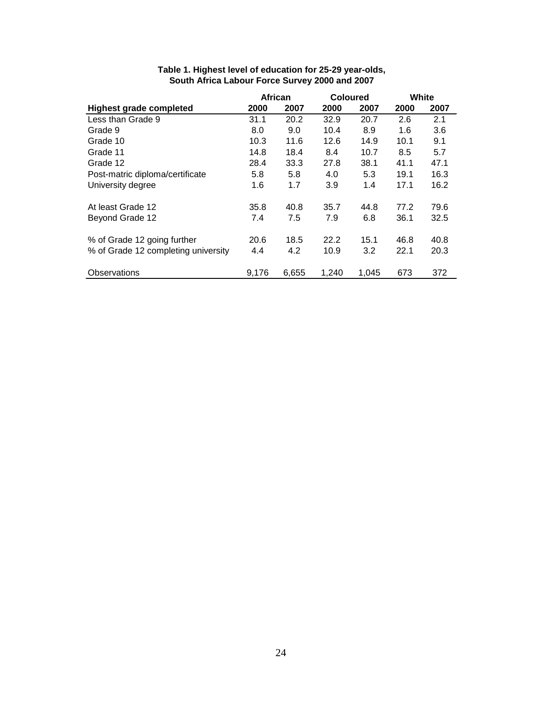|                                     | <b>African</b><br><b>Coloured</b> |       | White |       |      |      |
|-------------------------------------|-----------------------------------|-------|-------|-------|------|------|
| <b>Highest grade completed</b>      | 2000                              | 2007  | 2000  | 2007  | 2000 | 2007 |
| Less than Grade 9                   | 31.1                              | 20.2  | 32.9  | 20.7  | 2.6  | 2.1  |
| Grade 9                             | 8.0                               | 9.0   | 10.4  | 8.9   | 1.6  | 3.6  |
| Grade 10                            | 10.3                              | 11.6  | 12.6  | 14.9  | 10.1 | 9.1  |
| Grade 11                            | 14.8                              | 18.4  | 8.4   | 10.7  | 8.5  | 5.7  |
| Grade 12                            | 28.4                              | 33.3  | 27.8  | 38.1  | 41.1 | 47.1 |
| Post-matric diploma/certificate     | 5.8                               | 5.8   | 4.0   | 5.3   | 19.1 | 16.3 |
| University degree                   | 1.6                               | 1.7   | 3.9   | 1.4   | 17.1 | 16.2 |
| At least Grade 12                   | 35.8                              | 40.8  | 35.7  | 44.8  | 77.2 | 79.6 |
| Beyond Grade 12                     | 7.4                               | 7.5   | 7.9   | 6.8   | 36.1 | 32.5 |
| % of Grade 12 going further         | 20.6                              | 18.5  | 22.2  | 15.1  | 46.8 | 40.8 |
| % of Grade 12 completing university | 4.4                               | 4.2   | 10.9  | 3.2   | 22.1 | 20.3 |
| Observations                        | 9,176                             | 6,655 | 1,240 | 1.045 | 673  | 372  |

## **Table 1. Highest level of education for 25-29 year-olds, South Africa Labour Force Survey 2000 and 2007**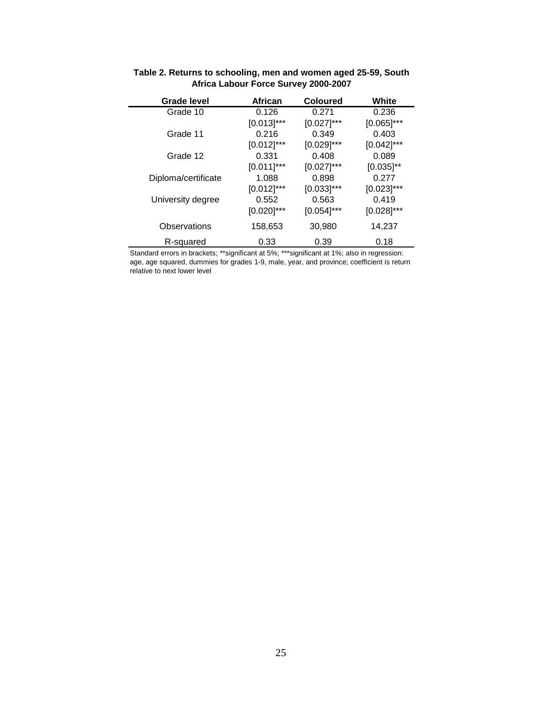| <b>Grade level</b>  | <b>African</b> | <b>Coloured</b> | White          |
|---------------------|----------------|-----------------|----------------|
| Grade 10            | 0.126          | 0.271           | 0.236          |
|                     | $[0.013]$ ***  | $[0.027]$ ***   | $[0.065]$ ***  |
| Grade 11            | 0.216          | 0.349           | 0.403          |
|                     | $[0.012]$ ***  | $[0.029]$ ***   | $[0.042]$ ***  |
| Grade 12            | 0.331          | 0.408           | 0.089          |
|                     | $[0.011]$ ***  | $[0.027]$ ***   | $[0.035]^{**}$ |
| Diploma/certificate | 1.088          | 0.898           | 0.277          |
|                     | $[0.012]$ ***  | $[0.033]$ ***   | $[0.023]$ ***  |
| University degree   | 0.552          | 0.563           | 0.419          |
|                     | $[0.020]$ ***  | $[0.054]$ ***   | $[0.028]$ ***  |
| Observations        | 158,653        | 30,980          | 14,237         |
| R-squared           | 0.33           | 0.39            | 0.18           |

| Table 2. Returns to schooling, men and women aged 25-59, South |  |
|----------------------------------------------------------------|--|
| Africa Labour Force Survey 2000-2007                           |  |

Standard errors in brackets; \*\*significant at 5%; \*\*\*significant at 1%; also in regression: age, age squared, dummies for grades 1-9, male, year, and province; coefficient is return relative to next lower level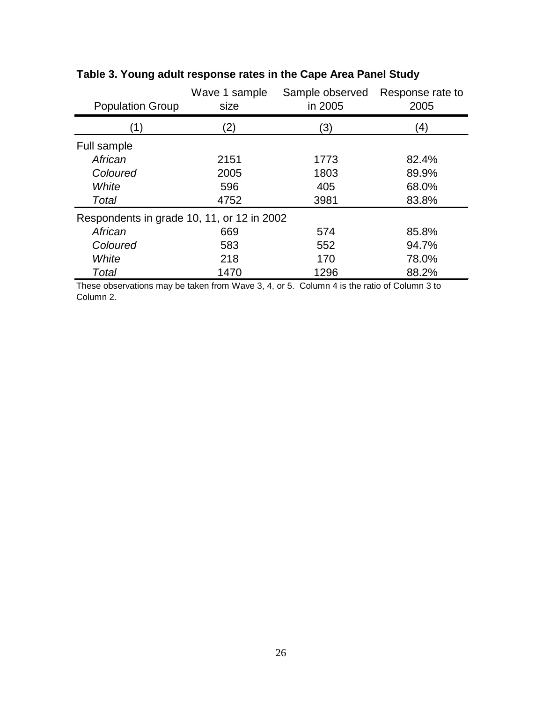| <b>Population Group</b>                    | Wave 1 sample<br>size | Sample observed<br>in 2005 | Response rate to<br>2005 |
|--------------------------------------------|-----------------------|----------------------------|--------------------------|
| (1)                                        | $\left( 2\right)$     | (3)                        | $\left( 4\right)$        |
| Full sample                                |                       |                            |                          |
| African                                    | 2151                  | 1773                       | 82.4%                    |
| Coloured                                   | 2005                  | 1803                       | 89.9%                    |
| White                                      | 596                   | 405                        | 68.0%                    |
| Total                                      | 4752                  | 3981                       | 83.8%                    |
| Respondents in grade 10, 11, or 12 in 2002 |                       |                            |                          |
| African                                    | 669                   | 574                        | 85.8%                    |
| Coloured                                   | 583                   | 552                        | 94.7%                    |
| White                                      | 218                   | 170                        | 78.0%                    |
| Total                                      | 1470                  | 1296                       | 88.2%                    |

# **Table 3. Young adult response rates in the Cape Area Panel Study**

These observations may be taken from Wave 3, 4, or 5. Column 4 is the ratio of Column 3 to Column 2.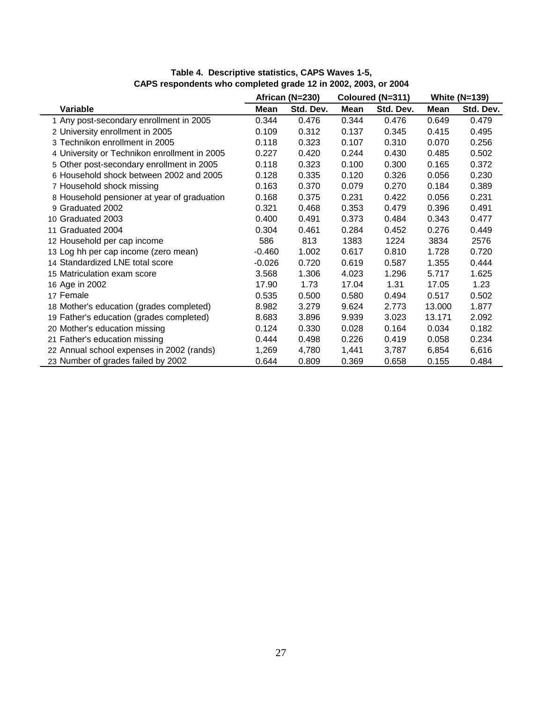|                                              | African (N=230) |           | Coloured (N=311) |           | <b>White (N=139)</b> |           |
|----------------------------------------------|-----------------|-----------|------------------|-----------|----------------------|-----------|
| <b>Variable</b>                              | Mean            | Std. Dev. | Mean             | Std. Dev. | Mean                 | Std. Dev. |
| 1 Any post-secondary enrollment in 2005      | 0.344           | 0.476     | 0.344            | 0.476     | 0.649                | 0.479     |
| 2 University enrollment in 2005              | 0.109           | 0.312     | 0.137            | 0.345     | 0.415                | 0.495     |
| 3 Technikon enrollment in 2005               | 0.118           | 0.323     | 0.107            | 0.310     | 0.070                | 0.256     |
| 4 University or Technikon enrollment in 2005 | 0.227           | 0.420     | 0.244            | 0.430     | 0.485                | 0.502     |
| 5 Other post-secondary enrollment in 2005    | 0.118           | 0.323     | 0.100            | 0.300     | 0.165                | 0.372     |
| 6 Household shock between 2002 and 2005      | 0.128           | 0.335     | 0.120            | 0.326     | 0.056                | 0.230     |
| 7 Household shock missing                    | 0.163           | 0.370     | 0.079            | 0.270     | 0.184                | 0.389     |
| 8 Household pensioner at year of graduation  | 0.168           | 0.375     | 0.231            | 0.422     | 0.056                | 0.231     |
| 9 Graduated 2002                             | 0.321           | 0.468     | 0.353            | 0.479     | 0.396                | 0.491     |
| 10 Graduated 2003                            | 0.400           | 0.491     | 0.373            | 0.484     | 0.343                | 0.477     |
| 11 Graduated 2004                            | 0.304           | 0.461     | 0.284            | 0.452     | 0.276                | 0.449     |
| 12 Household per cap income                  | 586             | 813       | 1383             | 1224      | 3834                 | 2576      |
| 13 Log hh per cap income (zero mean)         | $-0.460$        | 1.002     | 0.617            | 0.810     | 1.728                | 0.720     |
| 14 Standardized LNE total score              | $-0.026$        | 0.720     | 0.619            | 0.587     | 1.355                | 0.444     |
| 15 Matriculation exam score                  | 3.568           | 1.306     | 4.023            | 1.296     | 5.717                | 1.625     |
| 16 Age in 2002                               | 17.90           | 1.73      | 17.04            | 1.31      | 17.05                | 1.23      |
| 17 Female                                    | 0.535           | 0.500     | 0.580            | 0.494     | 0.517                | 0.502     |
| 18 Mother's education (grades completed)     | 8.982           | 3.279     | 9.624            | 2.773     | 13.000               | 1.877     |
| 19 Father's education (grades completed)     | 8.683           | 3.896     | 9.939            | 3.023     | 13.171               | 2.092     |
| 20 Mother's education missing                | 0.124           | 0.330     | 0.028            | 0.164     | 0.034                | 0.182     |
| 21 Father's education missing                | 0.444           | 0.498     | 0.226            | 0.419     | 0.058                | 0.234     |
| 22 Annual school expenses in 2002 (rands)    | 1,269           | 4,780     | 1,441            | 3,787     | 6,854                | 6,616     |
| 23 Number of grades failed by 2002           | 0.644           | 0.809     | 0.369            | 0.658     | 0.155                | 0.484     |

#### **Table 4. Descriptive statistics, CAPS Waves 1-5, CAPS respondents who completed grade 12 in 2002, 2003, or 2004**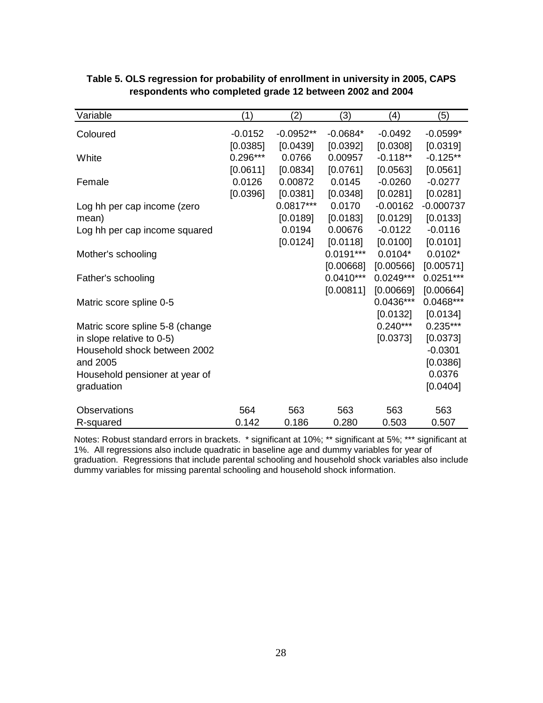| Variable                        | (1)        | (2)         | (3)         | (4)         | (5)         |
|---------------------------------|------------|-------------|-------------|-------------|-------------|
| Coloured                        | $-0.0152$  | $-0.0952**$ | $-0.0684*$  | $-0.0492$   | $-0.0599*$  |
|                                 | [0.0385]   | [0.0439]    | [0.0392]    | [0.0308]    | [0.0319]    |
| White                           | $0.296***$ | 0.0766      | 0.00957     | $-0.118**$  | $-0.125**$  |
|                                 | [0.0611]   | [0.0834]    | [0.0761]    | [0.0563]    | [0.0561]    |
| Female                          | 0.0126     | 0.00872     | 0.0145      | $-0.0260$   | $-0.0277$   |
|                                 | [0.0396]   | [0.0381]    | [0.0348]    | [0.0281]    | [0.0281]    |
| Log hh per cap income (zero     |            | $0.0817***$ | 0.0170      | $-0.00162$  | $-0.000737$ |
| mean)                           |            | [0.0189]    | [0.0183]    | [0.0129]    | [0.0133]    |
| Log hh per cap income squared   |            | 0.0194      | 0.00676     | $-0.0122$   | $-0.0116$   |
|                                 |            | [0.0124]    | [0.0118]    | [0.0100]    | [0.0101]    |
| Mother's schooling              |            |             | $0.0191***$ | $0.0104*$   | $0.0102*$   |
|                                 |            |             | [0.00668]   | [0.00566]   | [0.00571]   |
| Father's schooling              |            |             | $0.0410***$ | $0.0249***$ | $0.0251***$ |
|                                 |            |             | [0.00811]   | [0.00669]   | [0.00664]   |
| Matric score spline 0-5         |            |             |             | 0.0436***   | 0.0468***   |
|                                 |            |             |             | [0.0132]    | [0.0134]    |
| Matric score spline 5-8 (change |            |             |             | $0.240***$  | $0.235***$  |
| in slope relative to 0-5)       |            |             |             | [0.0373]    | [0.0373]    |
| Household shock between 2002    |            |             |             |             | $-0.0301$   |
| and 2005                        |            |             |             |             | [0.0386]    |
| Household pensioner at year of  |            |             |             |             | 0.0376      |
| graduation                      |            |             |             |             | [0.0404]    |
| <b>Observations</b>             | 564        | 563         | 563         | 563         | 563         |
| R-squared                       | 0.142      | 0.186       | 0.280       | 0.503       | 0.507       |

## **Table 5. OLS regression for probability of enrollment in university in 2005, CAPS respondents who completed grade 12 between 2002 and 2004**

Notes: Robust standard errors in brackets. \* significant at 10%; \*\* significant at 5%; \*\*\* significant at 1%. All regressions also include quadratic in baseline age and dummy variables for year of graduation. Regressions that include parental schooling and household shock variables also include dummy variables for missing parental schooling and household shock information.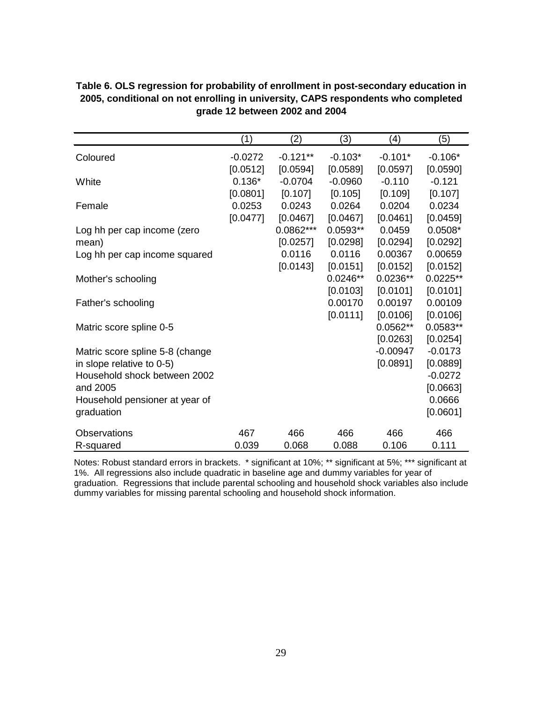|                                              | (1)       | (2)        | (3)        | (4)        | (5)                |
|----------------------------------------------|-----------|------------|------------|------------|--------------------|
| Coloured                                     | $-0.0272$ | $-0.121**$ | $-0.103*$  | $-0.101*$  | $-0.106*$          |
|                                              | [0.0512]  | [0.0594]   | [0.0589]   | [0.0597]   | [0.0590]           |
| White                                        | $0.136*$  | $-0.0704$  | $-0.0960$  | $-0.110$   | $-0.121$           |
|                                              | [0.0801]  | [0.107]    | [0.105]    | [0.109]    | [0.107]            |
| Female                                       | 0.0253    | 0.0243     | 0.0264     | 0.0204     | 0.0234             |
|                                              | [0.0477]  | [0.0467]   | [0.0467]   | [0.0461]   | [0.0459]           |
| Log hh per cap income (zero                  |           | 0.0862***  | $0.0593**$ | 0.0459     | $0.0508*$          |
| mean)                                        |           | [0.0257]   | [0.0298]   | [0.0294]   | [0.0292]           |
| Log hh per cap income squared                |           | 0.0116     | 0.0116     | 0.00367    | 0.00659            |
|                                              |           | [0.0143]   | [0.0151]   | [0.0152]   | [0.0152]           |
| Mother's schooling                           |           |            | $0.0246**$ | $0.0236**$ | $0.0225**$         |
|                                              |           |            | [0.0103]   | [0.0101]   | [0.0101]           |
| Father's schooling                           |           |            | 0.00170    | 0.00197    | 0.00109            |
|                                              |           |            | [0.0111]   | [0.0106]   | [0.0106]           |
| Matric score spline 0-5                      |           |            |            | $0.0562**$ | $0.0583**$         |
|                                              |           |            |            | [0.0263]   | [0.0254]           |
| Matric score spline 5-8 (change              |           |            |            | $-0.00947$ | $-0.0173$          |
| in slope relative to 0-5)                    |           |            |            | [0.0891]   | [0.0889]           |
| Household shock between 2002<br>and 2005     |           |            |            |            | $-0.0272$          |
|                                              |           |            |            |            | [0.0663]<br>0.0666 |
| Household pensioner at year of<br>graduation |           |            |            |            | [0.0601]           |
|                                              |           |            |            |            |                    |
| Observations                                 | 467       | 466        | 466        | 466        | 466                |
| R-squared                                    | 0.039     | 0.068      | 0.088      | 0.106      | 0.111              |

| Table 6. OLS regression for probability of enrollment in post-secondary education in |
|--------------------------------------------------------------------------------------|
| 2005, conditional on not enrolling in university, CAPS respondents who completed     |
| grade 12 between 2002 and 2004                                                       |

Notes: Robust standard errors in brackets. \* significant at 10%; \*\* significant at 5%; \*\*\* significant at 1%. All regressions also include quadratic in baseline age and dummy variables for year of graduation. Regressions that include parental schooling and household shock variables also include dummy variables for missing parental schooling and household shock information.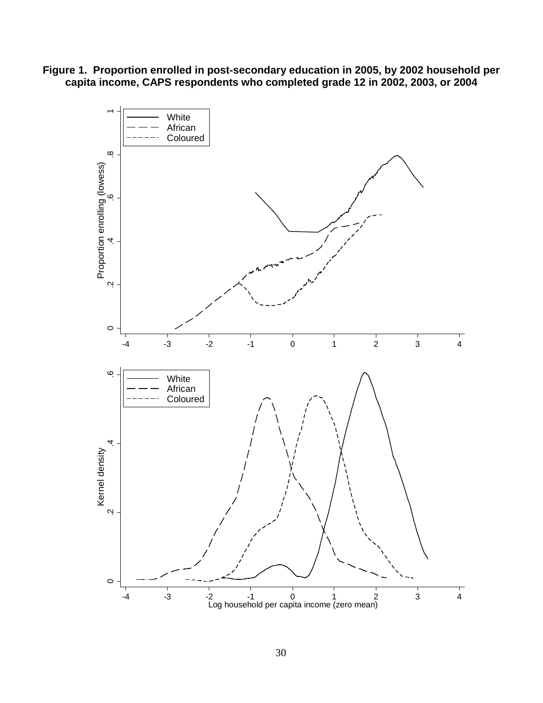**Figure 1. Proportion enrolled in post-secondary education in 2005, by 2002 household per capita income, CAPS respondents who completed grade 12 in 2002, 2003, or 2004**

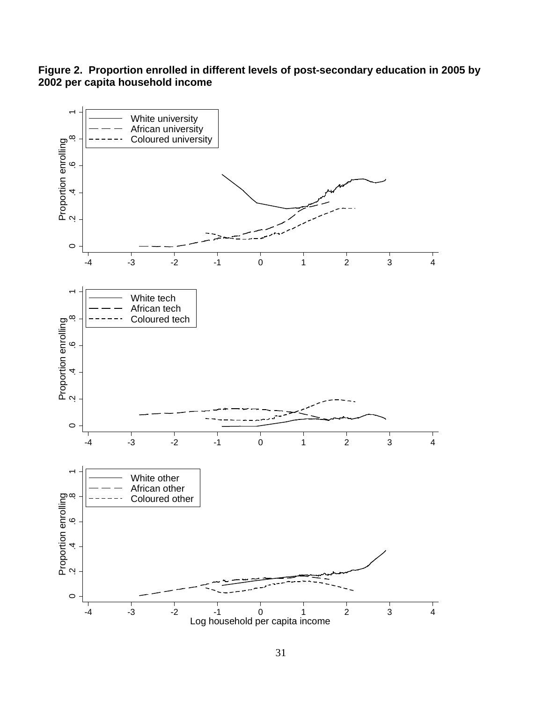**Figure 2. Proportion enrolled in different levels of post-secondary education in 2005 by 2002 per capita household income**